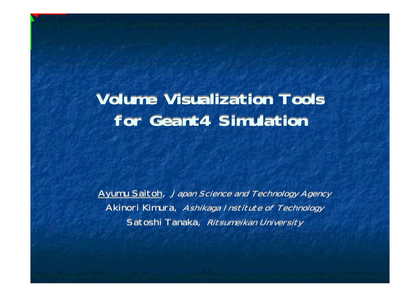## **Volume Visualization Tools Volume Visualization Toolsfor Geant4 Simulation for Geant4 Simulation**

Ayumu Saitoh, Japan Science and Technology Agency Akinori Kimura, Ashikaga Institute of Technology Akinori Kimura, Ashikaga Institute of Technology Satoshi Tanaka, Ritsumeikan University Satoshi Tanaka, Ritsumeikan University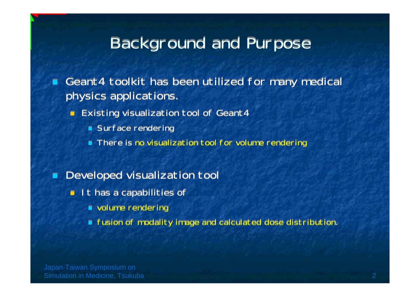## **Background and Purpose**

┑ Geant4 toolkit has been utilized for many medical Geant4 toolkit has been utilized for many medical physics applications. physics applications.

- П **Existing visualization tool of Geant4** 
	- Surface rendering Surface rendering
	- ٦ There is no visualization tool for volume rendering There is no visualization tool for volume rendering

#### ┑ Developed visualization tool Developed visualization tool

- **It has a capabilities of** 
	- volume rendering volume rendering
	- fusion of modality image and calculated dose distribution. fusion of modality image and calculated dose distribution.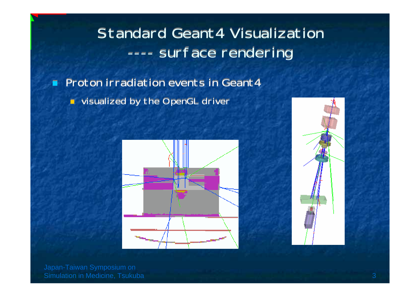#### Standard Geant4 Visualization Standard Geant4 Visualization----- surface rendering ----- surface rendering

┑ ■ Proton irradiation events in Geant4 visualized by the OpenGL driver visualized by the OpenGL driver



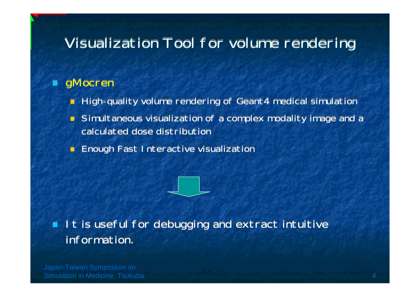### Visualization Tool for volume rendering

#### ┑ gMocren gMocren

- П ■ High-quality volume rendering of Geant4 medical simulation
- П Simultaneous visualization of a complex modality image and a Simultaneous visualization of a complex modality image and a calculated dose distribution calculated dose distribution
- П **Enough Fast Interactive visualization**

### **It is useful for debugging and extract intuitive** information. information.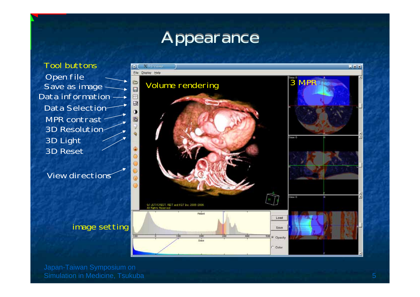## Appearance

Tool buttonsData information MPR contrast 3D Resolution 3D Light 3D ResetData Selection

View directions

#### image setting

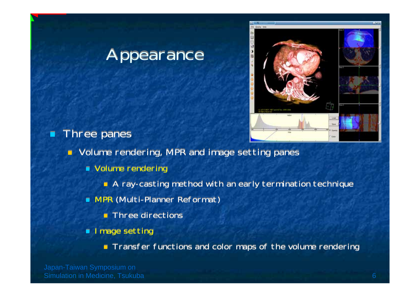## Appearance



Π **Three panes** 

Volume rendering, MPR and image setting panes Volume rendering, MPR and image setting panes

- Volume rendering Volume rendering
	- A ray-casting method with an early termination technique A ray-casting method with an early termination technique
- MPR (Multi-Planner Reformat) MPR (Multi-Planner Reformat)
	- Three directions Three directions
- **I** Image setting

Transfer functions and color maps of the volume rendering Transfer functions and color maps of the volume rendering

Simulation in Medicine, Tsukuba 6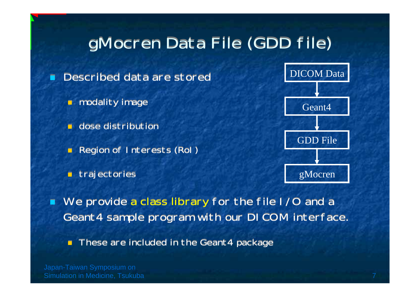# gMocren Data File (GDD file)

┓ Described data are stored Described data are stored

- modality image modality image
- ۳ dose distribution dose distribution
- ۳ Region of Interests (RoI) Region of Interests (RoI)
- П trajectories trajectories



 We provide a class library for the file I/O and a We provide a class library for the file I/O and a Geant4 sample program with our DICOM interface. Geant4 sample program with our DICOM interface.

П These are included in the Geant4 package These are included in the Geant4 package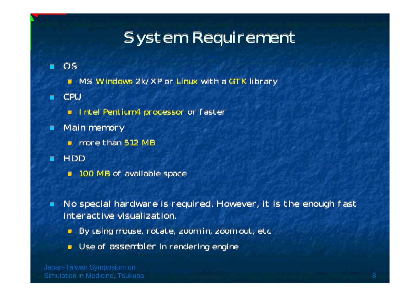# **System Requirement**

#### П OS OS

- **NS Windows 2k/XP or Linux with a GTK library**
- п CPU CPU
	- **Intel Pentium4 processor or faster**
- п **Main memory** 
	- more than 512 MB
- П HDD HDD
	- 100 MB of available space 100 MB of available space
- п No special hardware is required. However, it is the enough fast No special hardware is required. However, it is the enough fast interactive visualization. interactive visualization.
	- п **By using mouse, rotate, zoom in, zoom out, etc**
	- Use of assembler in rendering engine Use of assembler in rendering engine

Simulation in Medicine, Tsukuba 8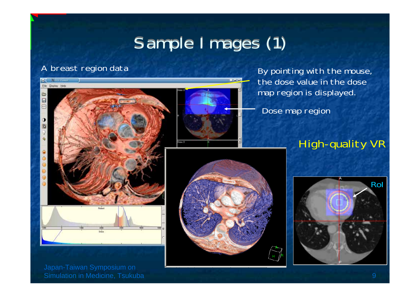# Sample Images (1)

#### A breast region data



Simulation in Medicine, Tsukuba 9



By pointing with the mouse, the dose value in the dose map region is displayed.

Dose map region

#### High-quality VR

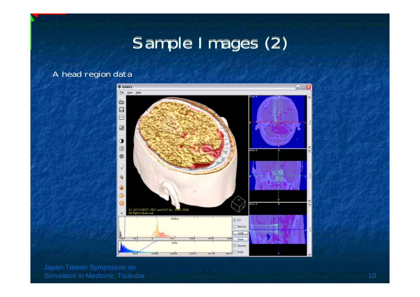# Sample Images (2)

#### A head region data

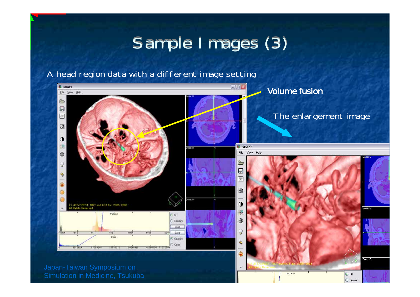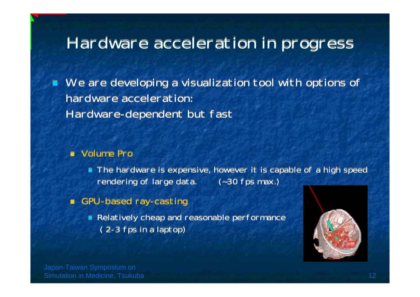## Hardware acceleration in progress

 We are developing a visualization tool with options of We are developing a visualization tool with options of hardware acceleration: hardware acceleration:Hardware-dependent but fast Hardware-dependent but fast

#### Volume Pro Volume Pro

- The hardware is expensive, however it is capable of a high speed The hardware is expensive, however it is capable of a high speed rendering of large data. (~30 fps max.) rendering of large data. (~30 fps max.)
- П GPU-based ray-casting GPU-based ray-casting
	- Relatively cheap and reasonable performance Relatively cheap and reasonable performance ( 2-3 fps in a laptop) ( 2-3 fps in a laptop)

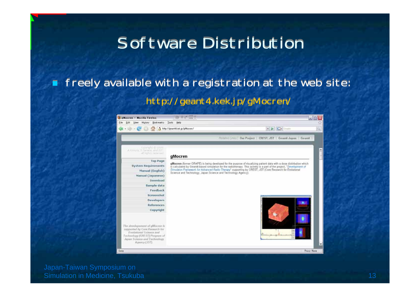## Software Distribution

#### ┑ freely available with a registration at the web site: freely available with a registration at the web site: http://geant4.kek.jp/gMocren/ http://geant4.kek.jp/gMocren/

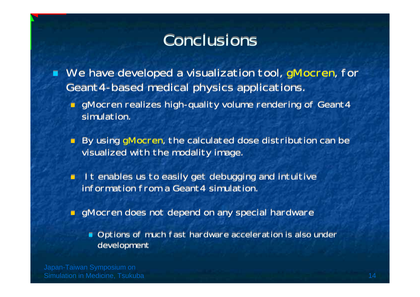# Conclusions

■ We have developed a visualization tool, gMocren, for Geant4-based medical physics applications. Geant4-based medical physics applications. p.

- gMocren realizes high-quality volume rendering of Geant4 gMocren realizes high-quality volume rendering of Geant4 simulation. simulation.
- By using gMocren, the calculated dose distribution can be By using gMocren, the calculated dose distribution can be visualized with the modality image. visualized with the modality image.
- П **It enables us to easily get debugging and intuitive** information from a Geant4 simulation. information from a Geant4 simulation.
- gMocren does not depend on any special hardware gMocren does not depend on any special hardware
	- Options of much fast hardware acceleration is also under Options of much fast hardware acceleration is also under development development